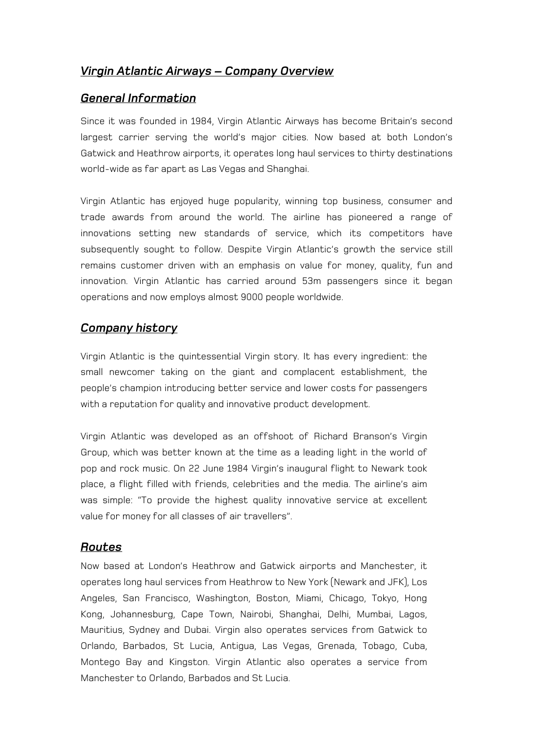## *Virgin Atlantic Airways – Company Overview*

#### *General Information*

Since it was founded in 1984, Virgin Atlantic Airways has become Britain's second largest carrier serving the world's major cities. Now based at both London's Gatwick and Heathrow airports, it operates long haul services to thirty destinations world-wide as far apart as Las Vegas and Shanghai.

Virgin Atlantic has enjoyed huge popularity, winning top business, consumer and trade awards from around the world. The airline has pioneered a range of innovations setting new standards of service, which its competitors have subsequently sought to follow. Despite Virgin Atlantic's growth the service still remains customer driven with an emphasis on value for money, quality, fun and innovation. Virgin Atlantic has carried around 53m passengers since it began operations and now employs almost 9000 people worldwide.

### *Company history*

Virgin Atlantic is the quintessential Virgin story. It has every ingredient: the small newcomer taking on the giant and complacent establishment, the people's champion introducing better service and lower costs for passengers with a reputation for quality and innovative product development.

Virgin Atlantic was developed as an offshoot of Richard Branson's Virgin Group, which was better known at the time as a leading light in the world of pop and rock music. On 22 June 1984 Virgin's inaugural flight to Newark took place, a flight filled with friends, celebrities and the media. The airline's aim was simple: "To provide the highest quality innovative service at excellent value for money for all classes of air travellers".

#### *Routes*

Now based at London's Heathrow and Gatwick airports and Manchester, it operates long haul services from Heathrow to New York (Newark and JFK), Los Angeles, San Francisco, Washington, Boston, Miami, Chicago, Tokyo, Hong Kong, Johannesburg, Cape Town, Nairobi, Shanghai, Delhi, Mumbai, Lagos, Mauritius, Sydney and Dubai. Virgin also operates services from Gatwick to Orlando, Barbados, St Lucia, Antigua, Las Vegas, Grenada, Tobago, Cuba, Montego Bay and Kingston. Virgin Atlantic also operates a service from Manchester to Orlando, Barbados and St Lucia.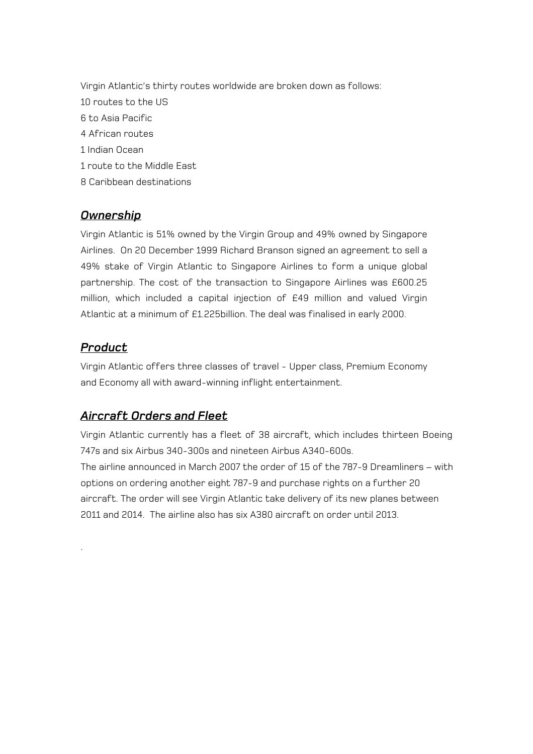Virgin Atlantic's thirty routes worldwide are broken down as follows: 10 routes to the US 6 to Asia Pacific 4 African routes 1 Indian Ocean 1 route to the Middle East 8 Caribbean destinations

# *Ownership*

Virgin Atlantic is 51% owned by the Virgin Group and 49% owned by Singapore Airlines. On 20 December 1999 Richard Branson signed an agreement to sell a 49% stake of Virgin Atlantic to Singapore Airlines to form a unique global partnership. The cost of the transaction to Singapore Airlines was £600.25 million, which included a capital injection of £49 million and valued Virgin Atlantic at a minimum of £1.225billion. The deal was finalised in early 2000.

## *Product*

.

Virgin Atlantic offers three classes of travel - Upper class, Premium Economy and Economy all with award-winning inflight entertainment.

# *Aircraft Orders and Fleet*

Virgin Atlantic currently has a fleet of 38 aircraft, which includes thirteen Boeing 747s and six Airbus 340-300s and nineteen Airbus A340-600s. The airline announced in March 2007 the order of 15 of the 787-9 Dreamliners – with

options on ordering another eight 787-9 and purchase rights on a further 20 aircraft. The order will see Virgin Atlantic take delivery of its new planes between 2011 and 2014. The airline also has six A380 aircraft on order until 2013.